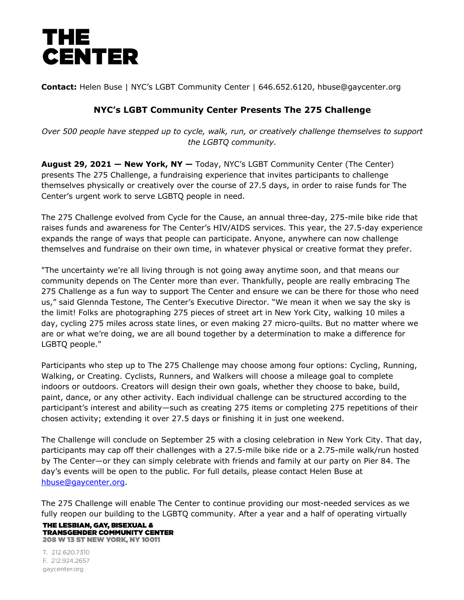

**Contact:** Helen Buse | NYC's LGBT Community Center | 646.652.6120, hbuse@gaycenter.org

## **NYC's LGBT Community Center Presents The 275 Challenge**

*Over 500 people have stepped up to cycle, walk, run, or creatively challenge themselves to support the LGBTQ community.*

**August 29, 2021 — New York, NY —** Today, NYC's LGBT Community Center (The Center) presents The 275 Challenge, a fundraising experience that invites participants to challenge themselves physically or creatively over the course of 27.5 days, in order to raise funds for The Center's urgent work to serve LGBTQ people in need.

The 275 Challenge evolved from Cycle for the Cause, an annual three-day, 275-mile bike ride that raises funds and awareness for The Center's HIV/AIDS services. This year, the 27.5-day experience expands the range of ways that people can participate. Anyone, anywhere can now challenge themselves and fundraise on their own time, in whatever physical or creative format they prefer.

"The uncertainty we're all living through is not going away anytime soon, and that means our community depends on The Center more than ever. Thankfully, people are really embracing The 275 Challenge as a fun way to support The Center and ensure we can be there for those who need us," said Glennda Testone, The Center's Executive Director. "We mean it when we say the sky is the limit! Folks are photographing 275 pieces of street art in New York City, walking 10 miles a day, cycling 275 miles across state lines, or even making 27 micro-quilts. But no matter where we are or what we're doing, we are all bound together by a determination to make a difference for LGBTQ people."

Participants who step up to The 275 Challenge may choose among four options: Cycling, Running, Walking, or Creating. Cyclists, Runners, and Walkers will choose a mileage goal to complete indoors or outdoors. Creators will design their own goals, whether they choose to bake, build, paint, dance, or any other activity. Each individual challenge can be structured according to the participant's interest and ability—such as creating 275 items or completing 275 repetitions of their chosen activity; extending it over 27.5 days or finishing it in just one weekend.

The Challenge will conclude on September 25 with a closing celebration in New York City. That day, participants may cap off their challenges with a 27.5-mile bike ride or a 2.75-mile walk/run hosted by The Center—or they can simply celebrate with friends and family at our party on Pier 84. The day's events will be open to the public. For full details, please contact Helen Buse at hbuse@gaycenter.org.

The 275 Challenge will enable The Center to continue providing our most-needed services as we fully reopen our building to the LGBTQ community. After a year and a half of operating virtually

## THE LESBIAN, GAY, BISEXUAL & **TRANSGENDER COMMUNITY CENTER 208 W 13 ST NEW YORK, NY 10011**

T. 212.620.7310 F. 212.924.2657 gaycenter.org